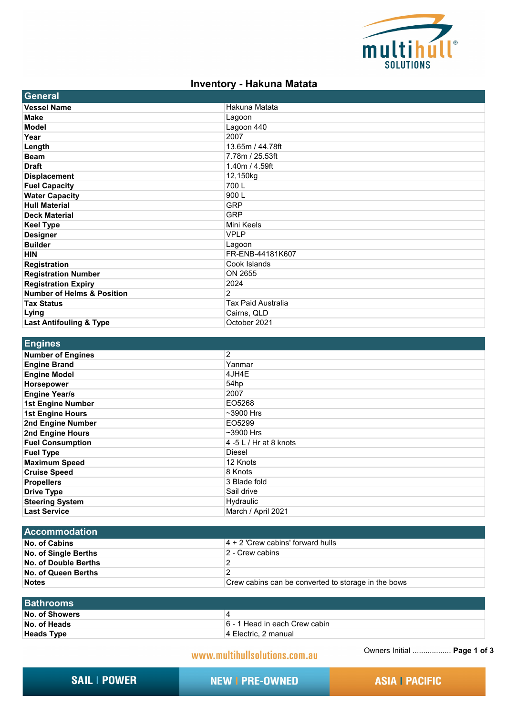

## **Inventory - Hakuna Matata**

| General                               |                           |
|---------------------------------------|---------------------------|
| <b>Vessel Name</b>                    | Hakuna Matata             |
| <b>Make</b>                           | Lagoon                    |
| <b>Model</b>                          | Lagoon 440                |
| Year                                  | 2007                      |
| Length                                | 13.65m / 44.78ft          |
| <b>Beam</b>                           | 7.78m / 25.53ft           |
| <b>Draft</b>                          | 1.40m / 4.59ft            |
| <b>Displacement</b>                   | 12,150kg                  |
| <b>Fuel Capacity</b>                  | 700L                      |
| <b>Water Capacity</b>                 | 900L                      |
| <b>Hull Material</b>                  | <b>GRP</b>                |
| <b>Deck Material</b>                  | <b>GRP</b>                |
| <b>Keel Type</b>                      | Mini Keels                |
| <b>Designer</b>                       | <b>VPLP</b>               |
| <b>Builder</b>                        | Lagoon                    |
| <b>HIN</b>                            | FR-ENB-44181K607          |
| <b>Registration</b>                   | Cook Islands              |
| <b>Registration Number</b>            | ON 2655                   |
| <b>Registration Expiry</b>            | 2024                      |
| <b>Number of Helms &amp; Position</b> | 2                         |
| <b>Tax Status</b>                     | <b>Tax Paid Australia</b> |
| Lying                                 | Cairns, QLD               |
| <b>Last Antifouling &amp; Type</b>    | October 2021              |

| Engines                  |                        |
|--------------------------|------------------------|
| <b>Number of Engines</b> | $\overline{2}$         |
| <b>Engine Brand</b>      | Yanmar                 |
| <b>Engine Model</b>      | 4JH4E                  |
| <b>Horsepower</b>        | 54hp                   |
| <b>Engine Year/s</b>     | 2007                   |
| <b>1st Engine Number</b> | EO5268                 |
| <b>1st Engine Hours</b>  | $~1$ -3900 Hrs         |
| 2nd Engine Number        | EO5299                 |
| <b>2nd Engine Hours</b>  | $~1$ -3900 Hrs         |
| <b>Fuel Consumption</b>  | 4 -5 L / Hr at 8 knots |
| <b>Fuel Type</b>         | Diesel                 |
| <b>Maximum Speed</b>     | 12 Knots               |
| <b>Cruise Speed</b>      | 8 Knots                |
| <b>Propellers</b>        | 3 Blade fold           |
| <b>Drive Type</b>        | Sail drive             |
| <b>Steering System</b>   | Hydraulic              |
| <b>Last Service</b>      | March / April 2021     |

| <b>Accommodation</b> |                                                     |
|----------------------|-----------------------------------------------------|
| No. of Cabins        | $ 4 + 2 $ 'Crew cabins' forward hulls               |
| No. of Single Berths | 2 - Crew cabins                                     |
| No. of Double Berths |                                                     |
| No. of Queen Berths  |                                                     |
| <b>Notes</b>         | Crew cabins can be converted to storage in the bows |
|                      |                                                     |

| <b>Bathrooms</b>  |                               |
|-------------------|-------------------------------|
| No. of Showers    |                               |
| No. of Heads      | 6 - 1 Head in each Crew cabin |
| <b>Heads Type</b> | 14 Electric, 2 manual         |

www.multihullsolutions.com.au

Owners Initial .................. **Page 1 of 3**

**SAIL | POWER** 

**NEW I PRE-OWNED** 

**ASIA | PACIFIC**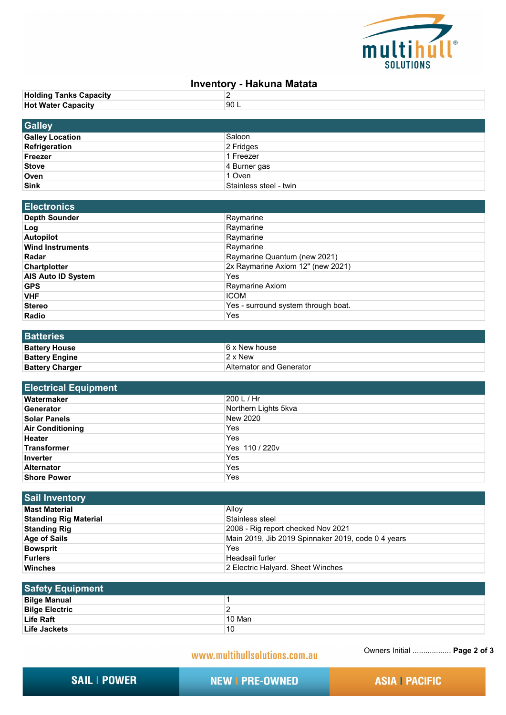

## **Inventory - Hakuna Matata**

| <b>Holding Tanks Capacity</b> | -    |
|-------------------------------|------|
| <b>Hot Water Capacity</b>     | 90 L |
|                               |      |

| <b>Galley</b>          |                        |
|------------------------|------------------------|
| <b>Galley Location</b> | Saloon                 |
| Refrigeration          | $ 2$ Fridges           |
| Freezer                | 1 Freezer              |
| <b>Stove</b>           | 4 Burner gas           |
| Oven                   | 1 Oven                 |
| <b>Sink</b>            | Stainless steel - twin |

| <b>Electronics</b>        |                                     |
|---------------------------|-------------------------------------|
| <b>Depth Sounder</b>      | Raymarine                           |
| ∣Log                      | Raymarine                           |
| <b>Autopilot</b>          | Raymarine                           |
| <b>Wind Instruments</b>   | Raymarine                           |
| Radar                     | Raymarine Quantum (new 2021)        |
| <b>Chartplotter</b>       | 2x Raymarine Axiom 12" (new 2021)   |
| <b>AIS Auto ID System</b> | Yes                                 |
| <b>GPS</b>                | Raymarine Axiom                     |
| <b>VHF</b>                | <b>ICOM</b>                         |
| <b>Stereo</b>             | Yes - surround system through boat. |
| <b>Radio</b>              | Yes                                 |

| <b>Batteries</b>       |                          |
|------------------------|--------------------------|
| <b>Battery House</b>   | 6 x New house            |
| <b>Battery Engine</b>  | $2 \times$ New           |
| <b>Battery Charger</b> | Alternator and Generator |

| <b>Electrical Equipment</b> |                      |
|-----------------------------|----------------------|
| Watermaker                  | 200 L / Hr           |
| Generator                   | Northern Lights 5kva |
| <b>Solar Panels</b>         | New 2020             |
| <b>Air Conditioning</b>     | Yes                  |
| <b>Heater</b>               | Yes                  |
| Transformer                 | Yes 110 / 220v       |
| Inverter                    | Yes                  |
| <b>Alternator</b>           | Yes                  |
| <b>Shore Power</b>          | Yes                  |

| <b>Sail Inventory</b>        |                                                    |
|------------------------------|----------------------------------------------------|
| <b>Mast Material</b>         | Alloy                                              |
| <b>Standing Rig Material</b> | Stainless steel                                    |
| <b>Standing Rig</b>          | 2008 - Rig report checked Nov 2021                 |
| <b>Age of Sails</b>          | Main 2019, Jib 2019 Spinnaker 2019, code 0 4 years |
| <b>Bowsprit</b>              | Yes                                                |
| <b>Furlers</b>               | Headsail furler                                    |
| <b>Winches</b>               | 2 Electric Halyard. Sheet Winches                  |

| <b>Safety Equipment</b> |        |
|-------------------------|--------|
| <b>Bilge Manual</b>     |        |
| <b>Bilge Electric</b>   |        |
| Life Raft               | 10 Man |
| Life Jackets            | 10     |

www.multihullsolutions.com.au

Owners Initial .................. **Page 2 of 3**

**SAIL | POWER** 

**NEW I PRE-OWNED** 

**ASIA | PACIFIC**